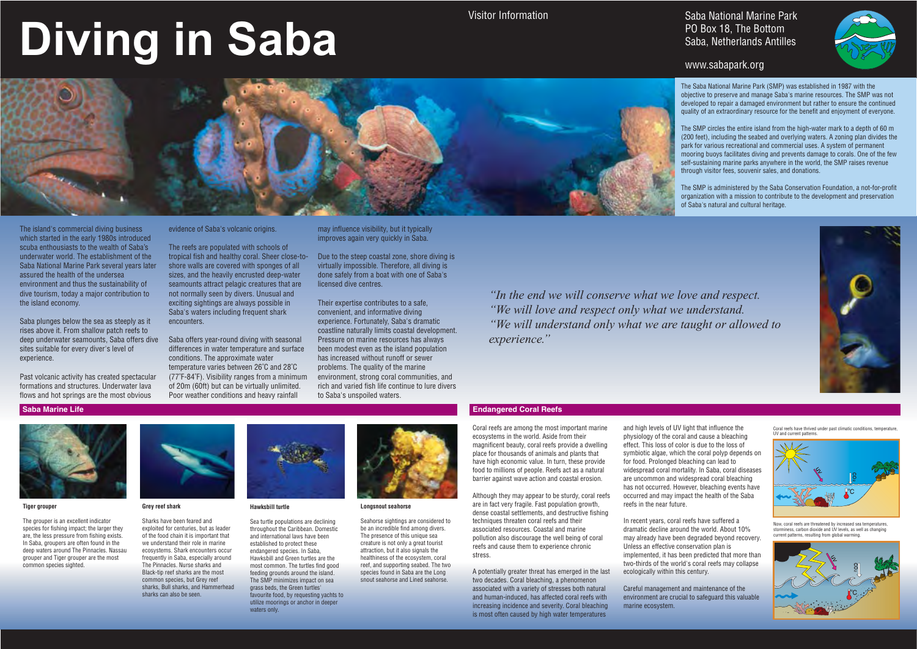# **Diving in Saba**

Visitor Information

#### **Tiger grouper**

The grouper is an excellent indicator species for fishing impact; the larger they are, the less pressure from fishing exists. In Saba, groupers are often found in the deep waters around The Pinnacles. Nassau grouper and Tiger grouper are the most common species sighted.



#### **Grey reef shark**

Sea turtle populations are declining throughout the Caribbean. Domestic and international laws have been established to protect these endangered species. In Saba, Hawksbill and Green turtles are the most common. The turtles find good feeding grounds around the island. The SMP minimizes impact on sea grass beds, the Green turtles' favourite food, by requesting yachts to utilize moorings or anchor in deeper waters only



Sharks have been feared and exploited for centuries, but as leader of the food chain it is important that we understand their role in marine ecosystems. Shark encounters occur frequently in Saba, especially around The Pinnacles. Nurse sharks and Black-tip reef sharks are the most common species, but Grey reef sharks, Bull sharks, and Hammerhead sharks can also be seen.



#### **Hawksbill turtle**

#### **Longsnout seahorse**

Seahorse sightings are considered to be an incredible find among divers. The presence of this unique sea creature is not only a great tourist attraction, but it also signals the healthiness of the ecosystem, coral reef, and supporting seabed. The two species found in Saba are the Long snout seahorse and Lined seahorse.

### Saba National Marine Park PO Box 18, The Bottom Saba, Netherlands Antilles



#### **Endangered Coral Reefs Saba Marine Life Endangered Coral Reefs**

## www.sabapark.org

The island's commercial diving business which started in the early 1980s introduced scuba enthousiasts to the wealth of Saba's underwater world. The establishment of the Saba National Marine Park several years later assured the health of the undersea environment and thus the sustainability of dive tourism, today a major contribution to the island economy.

Saba plunges below the sea as steeply as it rises above it. From shallow patch reefs to deep underwater seamounts, Saba offers dive sites suitable for every diver's level of experience.

Past volcanic activity has created spectacular formations and structures. Underwater lava flows and hot springs are the most obvious

evidence of Saba's volcanic origins.

The reefs are populated with schools of tropical fish and healthy coral. Sheer close-toshore walls are covered with sponges of all sizes, and the heavily encrusted deep-water seamounts attract pelagic creatures that are not normally seen by divers. Unusual and exciting sightings are always possible in Saba's waters including frequent shark encounters.

Saba offers year-round diving with seasonal differences in water temperature and surface conditions. The approximate water temperature varies between 26˚C and 28˚C (77˚F-84˚F). Visibility ranges from a minimum of 20m (60ft) but can be virtually unlimited. Poor weather conditions and heavy rainfall

may influence visibility, but it typically improves again very quickly in Saba.

Due to the steep coastal zone, shore diving is virtually impossible. Therefore, all diving is done safely from a boat with one of Saba's licensed dive centres.

Their expertise contributes to a safe, convenient, and informative diving experience. Fortunately, Saba's dramatic coastline naturally limits coastal development. Pressure on marine resources has always been modest even as the island population has increased without runoff or sewer problems. The quality of the marine environment, strong coral communities, and rich and varied fish life continue to lure divers to Saba's unspoiled waters.

*"In the end we will conserve what we love and respect. "We will love and respect only what we understand. "We will understand only what we are taught or allowed to experience."*



The Saba National Marine Park (SMP) was established in 1987 with the objective to preserve and manage Saba's marine resources. The SMP was not developed to repair a damaged environment but rather to ensure the continued quality of an extraordinary resource for the benefit and enjoyment of everyone. The SMP circles the entire island from the high-water mark to a depth of 60 m

(200 feet), including the seabed and overlying waters. A zoning plan divides the park for various recreational and commercial uses. A system of permanent mooring buoys facilitates diving and prevents damage to corals. One of the few self-sustaining marine parks anywhere in the world, the SMP raises revenue through visitor fees, souvenir sales, and donations.

The SMP is administered by the Saba Conservation Foundation, a not-for-profit organization with a mission to contribute to the development and preservation of Saba's natural and cultural heritage.



Now, coral reefs are threatened by increased sea temperatures, storminess, carbon dioxide and UV levels, as well as changing current patterns, resulting from global warming.



Coral reefs have thrived under past climatic conditions, temperature, UV and current patterns.



Coral reefs are among the most important marine ecosystems in the world. Aside from their magnificent beauty, coral reefs provide a dwelling place for thousands of animals and plants that have high economic value. In turn, these provide food to millions of people. Reefs act as a natural barrier against wave action and coastal erosion.

Although they may appear to be sturdy, coral reefs are in fact very fragile. Fast population growth, dense coastal settlements, and destructive fishing techniques threaten coral reefs and their associated resources. Coastal and marine pollution also discourage the well being of coral reefs and cause them to experience chronic stress.

A potentially greater threat has emerged in the last two decades. Coral bleaching, a phenomenon associated with a variety of stresses both natural and human-induced, has affected coral reefs with increasing incidence and severity. Coral bleaching is most often caused by high water temperatures

and high levels of UV light that influence the physiology of the coral and cause a bleaching effect. This loss of color is due to the loss of symbiotic algae, which the coral polyp depends on for food. Prolonged bleaching can lead to widespread coral mortality. In Saba, coral diseases are uncommon and widespread coral bleaching has not occurred. However, bleaching events have occurred and may impact the health of the Saba reefs in the near future.

In recent years, coral reefs have suffered a dramatic decline around the world. About 10% may already have been degraded beyond recovery. Unless an effective conservation plan is implemented, it has been predicted that more than two-thirds of the world's coral reefs may collapse ecologically within this century.

Careful management and maintenance of the environment are crucial to safeguard this valuable marine ecosystem.